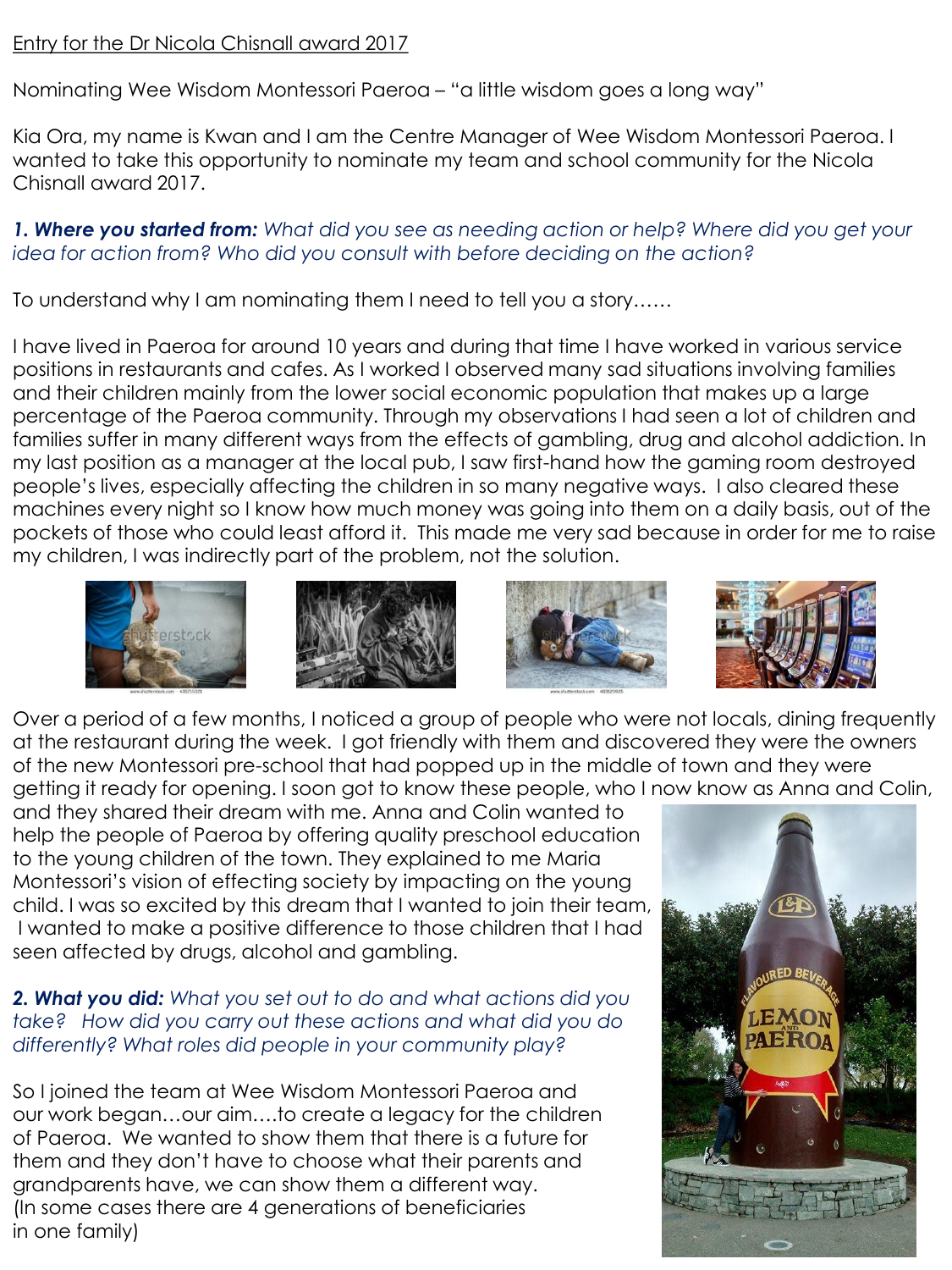## Entry for the Dr Nicola Chisnall award 2017

Nominating Wee Wisdom Montessori Paeroa – "a little wisdom goes a long way"

Kia Ora, my name is Kwan and I am the Centre Manager of Wee Wisdom Montessori Paeroa. I wanted to take this opportunity to nominate my team and school community for the Nicola Chisnall award 2017.

## *1. Where you started from: What did you see as needing action or help? Where did you get your idea for action from? Who did you consult with before deciding on the action?*

To understand why I am nominating them I need to tell you a story……

I have lived in Paeroa for around 10 years and during that time I have worked in various service positions in restaurants and cafes. As I worked I observed many sad situations involving families and their children mainly from the lower social economic population that makes up a large percentage of the Paeroa community. Through my observations I had seen a lot of children and families suffer in many different ways from the effects of gambling, drug and alcohol addiction. In my last position as a manager at the local pub, I saw first-hand how the gaming room destroyed people's lives, especially affecting the children in so many negative ways. I also cleared these machines every night so I know how much money was going into them on a daily basis, out of the pockets of those who could least afford it. This made me very sad because in order for me to raise my children, I was indirectly part of the problem, not the solution.









Over a period of a few months, I noticed a group of people who were not locals, dining frequently at the restaurant during the week. I got friendly with them and discovered they were the owners of the new Montessori pre-school that had popped up in the middle of town and they were getting it ready for opening. I soon got to know these people, who I now know as Anna and Colin,

and they shared their dream with me. Anna and Colin wanted to help the people of Paeroa by offering quality preschool education to the young children of the town. They explained to me Maria Montessori's vision of effecting society by impacting on the young child. I was so excited by this dream that I wanted to join their team, I wanted to make a positive difference to those children that I had seen affected by drugs, alcohol and gambling.

## *2. What you did: What you set out to do and what actions did you take? How did you carry out these actions and what did you do differently? What roles did people in your community play?*

So I joined the team at Wee Wisdom Montessori Paeroa and our work began…our aim….to create a legacy for the children of Paeroa. We wanted to show them that there is a future for them and they don't have to choose what their parents and grandparents have, we can show them a different way. (In some cases there are 4 generations of beneficiaries in one family)

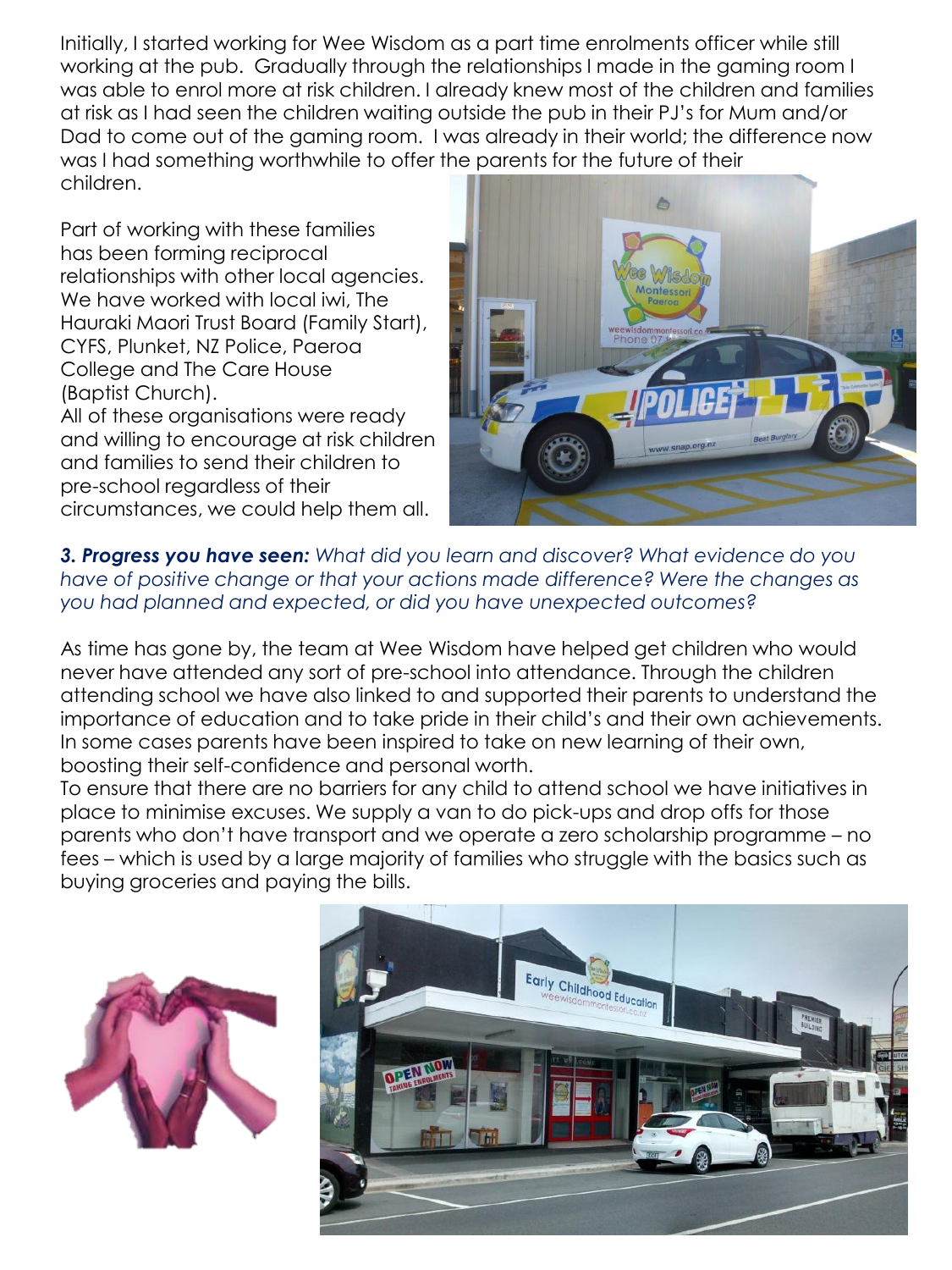Initially, I started working for Wee Wisdom as a part time enrolments officer while still working at the pub. Gradually through the relationships I made in the gaming room I was able to enrol more at risk children. I already knew most of the children and families at risk as I had seen the children waiting outside the pub in their PJ's for Mum and/or Dad to come out of the gaming room. I was already in their world; the difference now was I had something worthwhile to offer the parents for the future of their children.

Part of working with these families has been forming reciprocal relationships with other local agencies. We have worked with local iwi, The Hauraki Maori Trust Board (Family Start), CYFS, Plunket, NZ Police, Paeroa College and The Care House (Baptist Church). All of these organisations were ready and willing to encourage at risk children

and families to send their children to pre-school regardless of their circumstances, we could help them all.



*3. Progress you have seen: What did you learn and discover? What evidence do you have of positive change or that your actions made difference? Were the changes as you had planned and expected, or did you have unexpected outcomes?* 

As time has gone by, the team at Wee Wisdom have helped get children who would never have attended any sort of pre-school into attendance. Through the children attending school we have also linked to and supported their parents to understand the importance of education and to take pride in their child's and their own achievements. In some cases parents have been inspired to take on new learning of their own, boosting their self-confidence and personal worth.

To ensure that there are no barriers for any child to attend school we have initiatives in place to minimise excuses. We supply a van to do pick-ups and drop offs for those parents who don't have transport and we operate a zero scholarship programme – no fees – which is used by a large majority of families who struggle with the basics such as buying groceries and paying the bills.